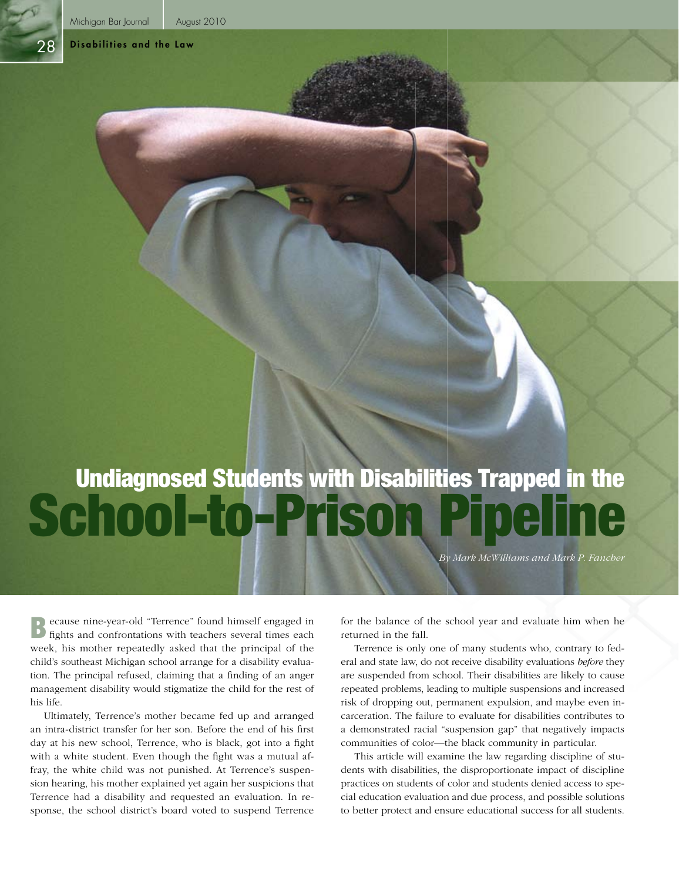28

#### Disabilities and the Law

# School-to-Prison Pipeline Undiagnosed Students with Disabilities Trapped in the

*By Mark McWilliams and Mark P. Fancher*

Because nine-year-old "Terrence" found himself engaged in fights and confrontations with teachers several times each week, his mother repeatedly asked that the principal of the child's southeast Michigan school arrange for a disability evaluation. The principal refused, claiming that a finding of an anger management disability would stigmatize the child for the rest of his life.

Ultimately, Terrence's mother became fed up and arranged an intra-district transfer for her son. Before the end of his first day at his new school, Terrence, who is black, got into a fight with a white student. Even though the fight was a mutual affray, the white child was not punished. At Terrence's suspension hearing, his mother explained yet again her suspicions that Terrence had a disability and requested an evaluation. In response, the school district's board voted to suspend Terrence for the balance of the school year and evaluate him when he returned in the fall.

Terrence is only one of many students who, contrary to federal and state law, do not receive disability evaluations *before* they are suspended from school. Their disabilities are likely to cause repeated problems, leading to multiple suspensions and increased risk of dropping out, permanent expulsion, and maybe even incarceration. The failure to evaluate for disabilities contributes to a demonstrated racial "suspension gap" that negatively impacts communities of color—the black community in particular.

This article will examine the law regarding discipline of students with disabilities, the disproportionate impact of discipline practices on students of color and students denied access to special education evaluation and due process, and possible solutions to better protect and ensure educational success for all students.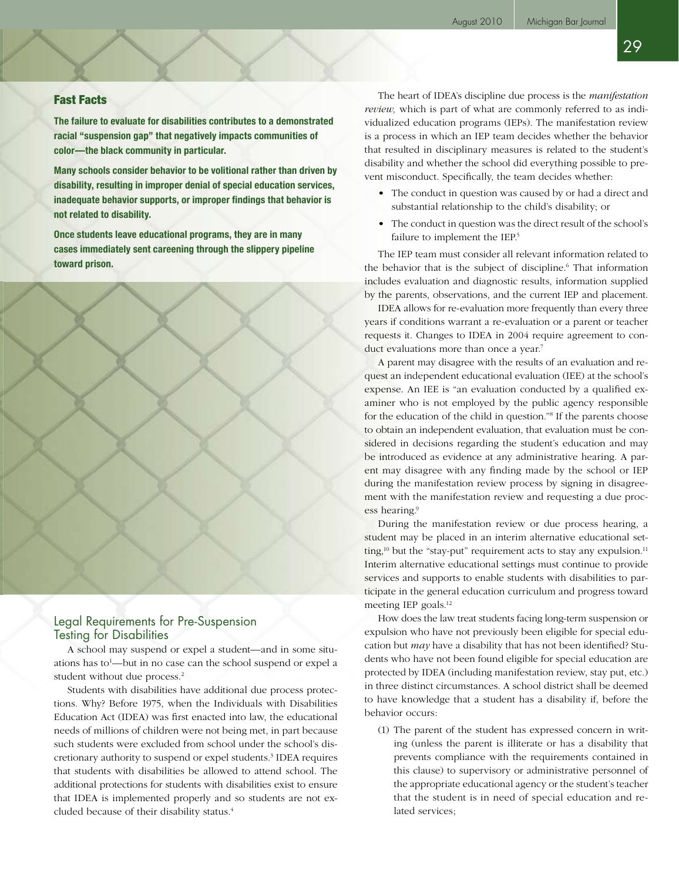29

## Fast Facts

**The failure to evaluate for disabilities contributes to a demonstrated racial "suspension gap" that negatively impacts communities of color—the black community in particular.**

**Many schools consider behavior to be volitional rather than driven by disability, resulting in improper denial of special education services, inadequate behavior supports, or improper findings that behavior is not related to disability.**

**Once students leave educational programs, they are in many cases immediately sent careening through the slippery pipeline toward prison.**



## Legal Requirements for Pre-Suspension Testing for Disabilities

A school may suspend or expel a student—and in some situations has to<sup>1</sup>—but in no case can the school suspend or expel a student without due process.<sup>2</sup>

Students with disabilities have additional due process protections. Why? Before 1975, when the Individuals with Disabilities Education Act (IDEA) was first enacted into law, the educational needs of millions of children were not being met, in part because such students were excluded from school under the school's discretionary authority to suspend or expel students.<sup>3</sup> IDEA requires that students with disabilities be allowed to attend school. The additional protections for students with disabilities exist to ensure that IDEA is implemented properly and so students are not excluded because of their disability status.<sup>4</sup>

The heart of IDEA's discipline due process is the *manifestation review,* which is part of what are commonly referred to as individualized education programs (IEPs). The manifestation review is a process in which an IEP team decides whether the behavior that resulted in disciplinary measures is related to the student's disability and whether the school did everything possible to prevent misconduct. Specifically, the team decides whether:

- The conduct in question was caused by or had a direct and substantial relationship to the child's disability; or
- The conduct in question was the direct result of the school's failure to implement the IEP.<sup>5</sup>

The IEP team must consider all relevant information related to the behavior that is the subject of discipline.<sup>6</sup> That information includes evaluation and diagnostic results, information supplied by the parents, observations, and the current IEP and placement.

IDEA allows for re-evaluation more frequently than every three years if conditions warrant a re-evaluation or a parent or teacher requests it. Changes to IDEA in 2004 require agreement to conduct evaluations more than once a year.<sup>7</sup>

A parent may disagree with the results of an evaluation and request an independent educational evaluation (IEE) at the school's expense. An IEE is "an evaluation conducted by a qualified examiner who is not employed by the public agency responsible for the education of the child in question."8 If the parents choose to obtain an independent evaluation, that evaluation must be considered in decisions regarding the student's education and may be introduced as evidence at any administrative hearing. A parent may disagree with any finding made by the school or IEP during the manifestation review process by signing in disagreement with the manifestation review and requesting a due process hearing.9

During the manifestation review or due process hearing, a student may be placed in an interim alternative educational setting, $10$  but the "stay-put" requirement acts to stay any expulsion. $11$ Interim alternative educational settings must continue to provide services and supports to enable students with disabilities to participate in the general education curriculum and progress toward meeting IEP goals.12

How does the law treat students facing long-term suspension or expulsion who have not previously been eligible for special education but *may* have a disability that has not been identified? Students who have not been found eligible for special education are protected by IDEA (including manifestation review, stay put, etc.) in three distinct circumstances. A school district shall be deemed to have knowledge that a student has a disability if, before the behavior occurs:

(1) The parent of the student has expressed concern in writing (unless the parent is illiterate or has a disability that prevents compliance with the requirements contained in this clause) to supervisory or administrative personnel of the appropriate educational agency or the student's teacher that the student is in need of special education and related services;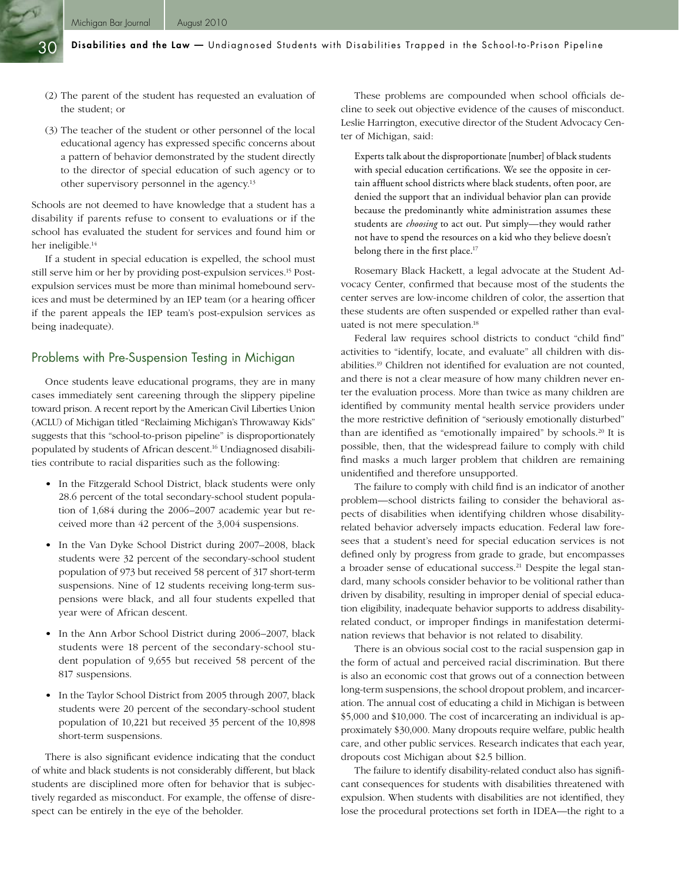- (2) The parent of the student has requested an evaluation of the student; or
- (3) The teacher of the student or other personnel of the local educational agency has expressed specific concerns about a pattern of behavior demonstrated by the student directly to the director of special education of such agency or to other supervisory personnel in the agency.13

Schools are not deemed to have knowledge that a student has a disability if parents refuse to consent to evaluations or if the school has evaluated the student for services and found him or her ineligible.<sup>14</sup>

If a student in special education is expelled, the school must still serve him or her by providing post-expulsion services.15 Postexpulsion services must be more than minimal homebound services and must be determined by an IEP team (or a hearing officer if the parent appeals the IEP team's post-expulsion services as being inadequate).

## Problems with Pre-Suspension Testing in Michigan

Once students leave educational programs, they are in many cases immediately sent careening through the slippery pipeline toward prison. A recent report by the American Civil Liberties Union (ACLU) of Michigan titled "Reclaiming Michigan's Throwaway Kids" suggests that this "school-to-prison pipeline" is disproportionately populated by students of African descent.16 Undiagnosed disabilities contribute to racial disparities such as the following:

- In the Fitzgerald School District, black students were only 28.6 percent of the total secondary-school student population of 1,684 during the 2006–2007 academic year but received more than 42 percent of the 3,004 suspensions.
- In the Van Dyke School District during 2007–2008, black students were 32 percent of the secondary-school student population of 973 but received 58 percent of 317 short-term suspensions. Nine of 12 students receiving long-term suspensions were black, and all four students expelled that year were of African descent.
- In the Ann Arbor School District during 2006–2007, black students were 18 percent of the secondary-school student population of 9,655 but received 58 percent of the 817 suspensions.
- In the Taylor School District from 2005 through 2007, black students were 20 percent of the secondary-school student population of 10,221 but received 35 percent of the 10,898 short-term suspensions.

There is also significant evidence indicating that the conduct of white and black students is not considerably different, but black students are disciplined more often for behavior that is subjectively regarded as misconduct. For example, the offense of disrespect can be entirely in the eye of the beholder.

These problems are compounded when school officials decline to seek out objective evidence of the causes of misconduct. Leslie Harrington, executive director of the Student Advocacy Center of Michigan, said:

Experts talk about the disproportionate [number] of black students with special education certifications. We see the opposite in certain affluent school districts where black students, often poor, are denied the support that an individual behavior plan can provide because the predominantly white administration assumes these students are *choosing* to act out. Put simply—they would rather not have to spend the resources on a kid who they believe doesn't belong there in the first place.<sup>17</sup>

Rosemary Black Hackett, a legal advocate at the Student Advocacy Center, confirmed that because most of the students the center serves are low-income children of color, the assertion that these students are often suspended or expelled rather than evaluated is not mere speculation.<sup>18</sup>

Federal law requires school districts to conduct "child find" activities to "identify, locate, and evaluate" all children with disabilities.<sup>19</sup> Children not identified for evaluation are not counted, and there is not a clear measure of how many children never enter the evaluation process. More than twice as many children are identified by community mental health service providers under the more restrictive definition of "seriously emotionally disturbed" than are identified as "emotionally impaired" by schools.<sup>20</sup> It is possible, then, that the widespread failure to comply with child find masks a much larger problem that children are remaining unidentified and therefore unsupported.

The failure to comply with child find is an indicator of another problem—school districts failing to consider the behavioral aspects of disabilities when identifying children whose disabilityrelated behavior adversely impacts education. Federal law foresees that a student's need for special education services is not defined only by progress from grade to grade, but encompasses a broader sense of educational success.21 Despite the legal standard, many schools consider behavior to be volitional rather than driven by disability, resulting in improper denial of special education eligibility, inadequate behavior supports to address disabilityrelated conduct, or improper findings in manifestation determination reviews that behavior is not related to disability.

There is an obvious social cost to the racial suspension gap in the form of actual and perceived racial discrimination. But there is also an economic cost that grows out of a connection between long-term suspensions, the school dropout problem, and incarceration. The annual cost of educating a child in Michigan is between \$5,000 and \$10,000. The cost of incarcerating an individual is approximately \$30,000. Many dropouts require welfare, public health care, and other public services. Research indicates that each year, dropouts cost Michigan about \$2.5 billion.

The failure to identify disability-related conduct also has significant consequences for students with disabilities threatened with expulsion. When students with disabilities are not identified, they lose the procedural protections set forth in IDEA—the right to a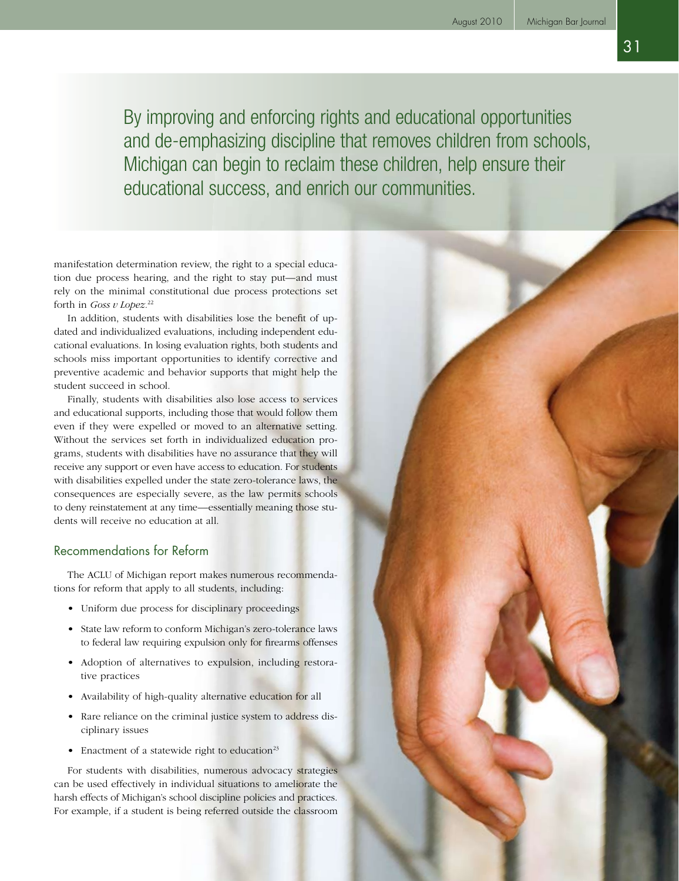By improving and enforcing rights and educational opportunities and de-emphasizing discipline that removes children from schools, Michigan can begin to reclaim these children, help ensure their educational success, and enrich our communities.

manifestation determination review, the right to a special education due process hearing, and the right to stay put—and must rely on the minimal constitutional due process protections set forth in *Goss v Lopez.*<sup>22</sup>

In addition, students with disabilities lose the benefit of updated and individualized evaluations, including independent educational evaluations. In losing evaluation rights, both students and schools miss important opportunities to identify corrective and preventive academic and behavior supports that might help the student succeed in school.

Finally, students with disabilities also lose access to services and educational supports, including those that would follow them even if they were expelled or moved to an alternative setting. Without the services set forth in individualized education programs, students with disabilities have no assurance that they will receive any support or even have access to education. For students with disabilities expelled under the state zero-tolerance laws, the consequences are especially severe, as the law permits schools to deny reinstatement at any time—essentially meaning those students will receive no education at all.

## Recommendations for Reform

The ACLU of Michigan report makes numerous recommendations for reform that apply to all students, including:

- Uniform due process for disciplinary proceedings
- State law reform to conform Michigan's zero-tolerance laws to federal law requiring expulsion only for firearms offenses
- Adoption of alternatives to expulsion, including restorative practices
- Availability of high-quality alternative education for all
- Rare reliance on the criminal justice system to address disciplinary issues
- Enactment of a statewide right to education<sup>23</sup>

For students with disabilities, numerous advocacy strategies can be used effectively in individual situations to ameliorate the harsh effects of Michigan's school discipline policies and practices. For example, if a student is being referred outside the classroom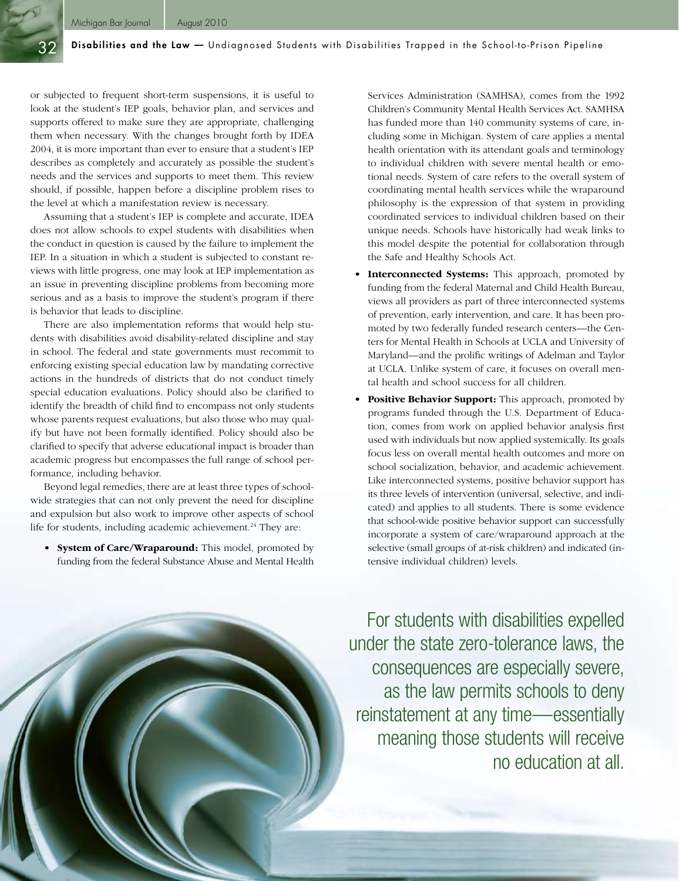or subjected to frequent short-term suspensions, it is useful to look at the student's IEP goals, behavior plan, and services and supports offered to make sure they are appropriate, challenging them when necessary. With the changes brought forth by IDEA 2004, it is more important than ever to ensure that a student's IEP describes as completely and accurately as possible the student's needs and the services and supports to meet them. This review should, if possible, happen before a discipline problem rises to the level at which a manifestation review is necessary.

Assuming that a student's IEP is complete and accurate, IDEA does not allow schools to expel students with disabilities when the conduct in question is caused by the failure to implement the IEP. In a situation in which a student is subjected to constant reviews with little progress, one may look at IEP implementation as an issue in preventing discipline problems from becoming more serious and as a basis to improve the student's program if there is behavior that leads to discipline.

There are also implementation reforms that would help students with disabilities avoid disability-related discipline and stay in school. The federal and state governments must recommit to enforcing existing special education law by mandating corrective actions in the hundreds of districts that do not conduct timely special education evaluations. Policy should also be clarified to identify the breadth of child find to encompass not only students whose parents request evaluations, but also those who may qualify but have not been formally identified. Policy should also be clarified to specify that adverse educational impact is broader than academic progress but encompasses the full range of school performance, including behavior.

Beyond legal remedies, there are at least three types of schoolwide strategies that can not only prevent the need for discipline and expulsion but also work to improve other aspects of school life for students, including academic achievement.<sup>24</sup> They are:

• **System of Care/Wraparound:** This model, promoted by funding from the federal Substance Abuse and Mental Health Services Administration (SAMHSA), comes from the 1992 Children's Community Mental Health Services Act. SAMHSA has funded more than 140 community systems of care, including some in Michigan. System of care applies a mental health orientation with its attendant goals and terminology to individual children with severe mental health or emotional needs. System of care refers to the overall system of coordinating mental health services while the wraparound philosophy is the expression of that system in providing coordinated services to individual children based on their unique needs. Schools have historically had weak links to this model despite the potential for collaboration through the Safe and Healthy Schools Act.

- Interconnected Systems: This approach, promoted by funding from the federal Maternal and Child Health Bureau, views all providers as part of three interconnected systems of prevention, early intervention, and care. It has been promoted by two federally funded research centers—the Centers for Mental Health in Schools at UCLA and University of Maryland—and the prolific writings of Adelman and Taylor at UCLA. Unlike system of care, it focuses on overall mental health and school success for all children.
- **Positive Behavior Support:** This approach, promoted by programs funded through the U.S. Department of Education, comes from work on applied behavior analysis first used with individuals but now applied systemically. Its goals focus less on overall mental health outcomes and more on school socialization, behavior, and academic achievement. Like interconnected systems, positive behavior support has its three levels of intervention (universal, selective, and indicated) and applies to all students. There is some evidence that school-wide positive behavior support can successfully incorporate a system of care/wraparound approach at the selective (small groups of at-risk children) and indicated (intensive individual children) levels.

For students with disabilities expelled under the state zero-tolerance laws, the consequences are especially severe, as the law permits schools to deny reinstatement at any time—essentially meaning those students will receive no education at all.